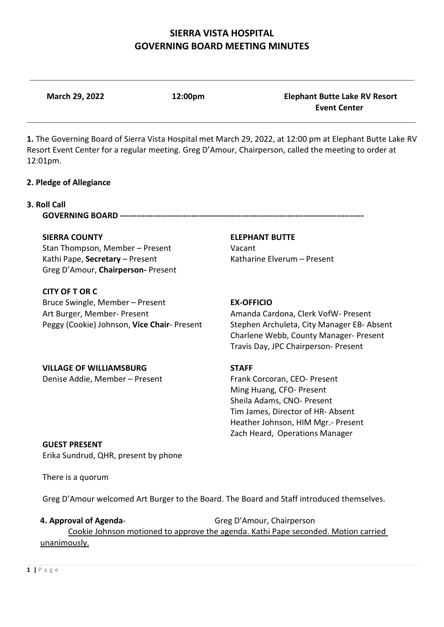$\_$ 

**March 29, 2022 12:00pm Elephant Butte Lake RV Resort** 

| 12:01pm.                                               | 1. The Governing Board of Sierra Vista Hospital met March 29, 2022, at 12:00 pm at Elephant Butte Lake RV<br>Resort Event Center for a regular meeting. Greg D'Amour, Chairperson, called the meeting to order at |
|--------------------------------------------------------|-------------------------------------------------------------------------------------------------------------------------------------------------------------------------------------------------------------------|
| 2. Pledge of Allegiance                                |                                                                                                                                                                                                                   |
| 3. Roll Call<br><b>GOVERNING BOARD ---------------</b> |                                                                                                                                                                                                                   |
| <b>SIERRA COUNTY</b>                                   | <b>ELEPHANT BUTTE</b>                                                                                                                                                                                             |
| Stan Thompson, Member – Present                        | Vacant                                                                                                                                                                                                            |
| Kathi Pape, Secretary - Present                        | Katharine Elverum - Present                                                                                                                                                                                       |
| Greg D'Amour, Chairperson-Present                      |                                                                                                                                                                                                                   |
| CITY OF T OR C                                         |                                                                                                                                                                                                                   |
| Bruce Swingle, Member – Present                        | <b>EX-OFFICIO</b>                                                                                                                                                                                                 |

Art Burger, Member- Present Amanda Cardona, Clerk VofW- Present Peggy (Cookie) Johnson, **Vice Chair**- Present Stephen Archuleta, City Manager EB- Absent Charlene Webb, County Manager- Present Travis Day, JPC Chairperson- Present

 **Event Center**

## **VILLAGE OF WILLIAMSBURG STAFF**

Denise Addie, Member – PresentFrank Corcoran, CEO- Present Ming Huang, CFO- Present Sheila Adams, CNO- Present Tim James, Director of HR- Absent Heather Johnson, HIM Mgr.- Present Zach Heard, Operations Manager

# **GUEST PRESENT**

Erika Sundrud, QHR, present by phone

There is a quorum

Greg D'Amour welcomed Art Burger to the Board. The Board and Staff introduced themselves.

## **4. Approval of Agenda-** Greg D'Amour, Chairperson Cookie Johnson motioned to approve the agenda. Kathi Pape seconded. Motion carried unanimously.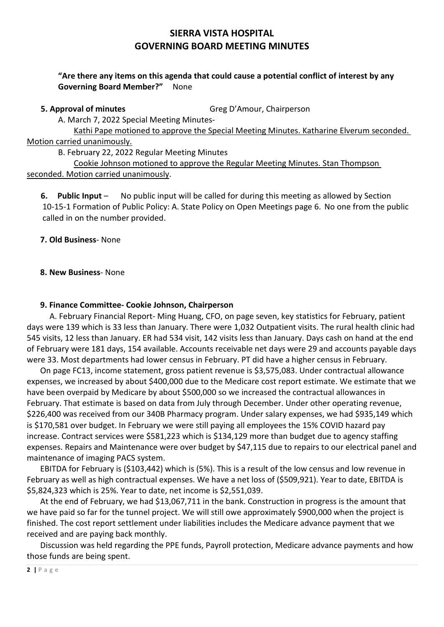### **"Are there any items on this agenda that could cause a potential conflict of interest by any Governing Board Member?"** None

**5. Approval of minutes Greg D'Amour, Chairperson** 

A. March 7, 2022 Special Meeting Minutes-

 Kathi Pape motioned to approve the Special Meeting Minutes. Katharine Elverum seconded. Motion carried unanimously.

B. February 22, 2022 Regular Meeting Minutes

 Cookie Johnson motioned to approve the Regular Meeting Minutes. Stan Thompson seconded. Motion carried unanimously.

 **6. Public Input** – No public input will be called for during this meeting as allowed by Section 10-15-1 Formation of Public Policy: A. State Policy on Open Meetings page 6. No one from the public called in on the number provided.

**7. Old Business**- None

**8. New Business**- None

#### **9. Finance Committee- Cookie Johnson, Chairperson**

 A. February Financial Report- Ming Huang, CFO, on page seven, key statistics for February, patient days were 139 which is 33 less than January. There were 1,032 Outpatient visits. The rural health clinic had 545 visits, 12 less than January. ER had 534 visit, 142 visits less than January. Days cash on hand at the end of February were 181 days, 154 available. Accounts receivable net days were 29 and accounts payable days were 33. Most departments had lower census in February. PT did have a higher census in February.

On page FC13, income statement, gross patient revenue is \$3,575,083. Under contractual allowance expenses, we increased by about \$400,000 due to the Medicare cost report estimate. We estimate that we have been overpaid by Medicare by about \$500,000 so we increased the contractual allowances in February. That estimate is based on data from July through December. Under other operating revenue, \$226,400 was received from our 340B Pharmacy program. Under salary expenses, we had \$935,149 which is \$170,581 over budget. In February we were still paying all employees the 15% COVID hazard pay increase. Contract services were \$581,223 which is \$134,129 more than budget due to agency staffing expenses. Repairs and Maintenance were over budget by \$47,115 due to repairs to our electrical panel and maintenance of imaging PACS system.

EBITDA for February is (\$103,442) which is (5%). This is a result of the low census and low revenue in February as well as high contractual expenses. We have a net loss of (\$509,921). Year to date, EBITDA is \$5,824,323 which is 25%. Year to date, net income is \$2,551,039.

At the end of February, we had \$13,067,711 in the bank. Construction in progress is the amount that we have paid so far for the tunnel project. We will still owe approximately \$900,000 when the project is finished. The cost report settlement under liabilities includes the Medicare advance payment that we received and are paying back monthly.

Discussion was held regarding the PPE funds, Payroll protection, Medicare advance payments and how those funds are being spent.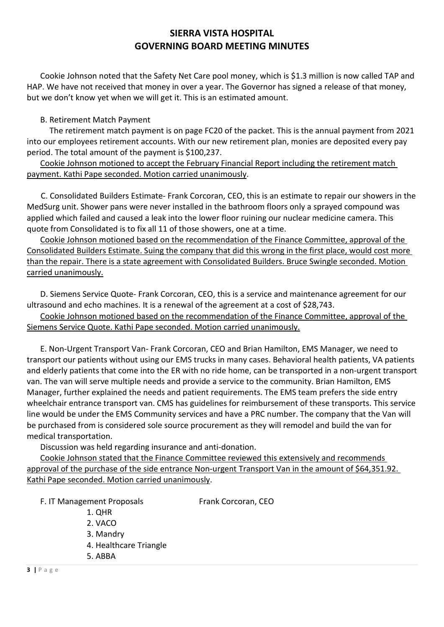Cookie Johnson noted that the Safety Net Care pool money, which is \$1.3 million is now called TAP and HAP. We have not received that money in over a year. The Governor has signed a release of that money, but we don't know yet when we will get it. This is an estimated amount.

#### B. Retirement Match Payment

 The retirement match payment is on page FC20 of the packet. This is the annual payment from 2021 into our employees retirement accounts. With our new retirement plan, monies are deposited every pay period. The total amount of the payment is \$100,237.

Cookie Johnson motioned to accept the February Financial Report including the retirement match payment. Kathi Pape seconded. Motion carried unanimously.

 C. Consolidated Builders Estimate- Frank Corcoran, CEO, this is an estimate to repair our showers in the MedSurg unit. Shower pans were never installed in the bathroom floors only a sprayed compound was applied which failed and caused a leak into the lower floor ruining our nuclear medicine camera. This quote from Consolidated is to fix all 11 of those showers, one at a time.

Cookie Johnson motioned based on the recommendation of the Finance Committee, approval of the Consolidated Builders Estimate. Suing the company that did this wrong in the first place, would cost more than the repair. There is a state agreement with Consolidated Builders. Bruce Swingle seconded. Motion carried unanimously.

D. Siemens Service Quote- Frank Corcoran, CEO, this is a service and maintenance agreement for our ultrasound and echo machines. It is a renewal of the agreement at a cost of \$28,743.

Cookie Johnson motioned based on the recommendation of the Finance Committee, approval of the Siemens Service Quote. Kathi Pape seconded. Motion carried unanimously.

E. Non-Urgent Transport Van- Frank Corcoran, CEO and Brian Hamilton, EMS Manager, we need to transport our patients without using our EMS trucks in many cases. Behavioral health patients, VA patients and elderly patients that come into the ER with no ride home, can be transported in a non-urgent transport van. The van will serve multiple needs and provide a service to the community. Brian Hamilton, EMS Manager, further explained the needs and patient requirements. The EMS team prefers the side entry wheelchair entrance transport van. CMS has guidelines for reimbursement of these transports. This service line would be under the EMS Community services and have a PRC number. The company that the Van will be purchased from is considered sole source procurement as they will remodel and build the van for medical transportation.

Discussion was held regarding insurance and anti-donation.

Cookie Johnson stated that the Finance Committee reviewed this extensively and recommends approval of the purchase of the side entrance Non-urgent Transport Van in the amount of \$64,351.92. Kathi Pape seconded. Motion carried unanimously.

F. IT Management Proposals Frank Corcoran, CEO

1. QHR

2. VACO

3. Mandry

4. Healthcare Triangle

5. ABBA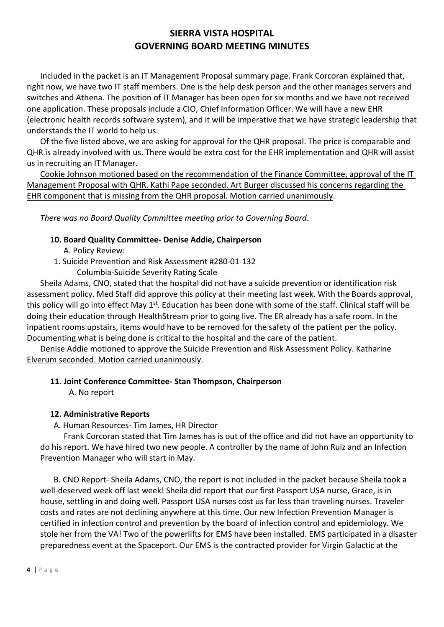Included in the packet is an IT Management Proposal summary page. Frank Corcoran explained that, right now, we have two IT staff members. One is the help desk person and the other manages servers and switches and Athena. The position of IT Manager has been open for six months and we have not received one application. These proposals include a CIO, Chief Information Officer. We will have a new EHR (electronic health records software system), and it will be imperative that we have strategic leadership that understands the IT world to help us.

Of the five listed above, we are asking for approval for the QHR proposal. The price is comparable and QHR is already involved with us. There would be extra cost for the EHR implementation and QHR will assist us in recruiting an IT Manager.

Cookie Johnson motioned based on the recommendation of the Finance Committee, approval of the IT Management Proposal with QHR. Kathi Pape seconded. Art Burger discussed his concerns regarding the EHR component that is missing from the QHR proposal. Motion carried unanimously.

*There was no Board Quality Committee meeting prior to Governing Board*.

#### **10. Board Quality Committee- Denise Addie, Chairperson**

- A. Policy Review:
- 1. Suicide Prevention and Risk Assessment #280-01-132
	- Columbia-Suicide Severity Rating Scale

Sheila Adams, CNO, stated that the hospital did not have a suicide prevention or identification risk assessment policy. Med Staff did approve this policy at their meeting last week. With the Boards approval, this policy will go into effect May 1<sup>st</sup>. Education has been done with some of the staff. Clinical staff will be doing their education through HealthStream prior to going live. The ER already has a safe room. In the inpatient rooms upstairs, items would have to be removed for the safety of the patient per the policy. Documenting what is being done is critical to the hospital and the care of the patient.

Denise Addie motioned to approve the Suicide Prevention and Risk Assessment Policy. Katharine Elverum seconded. Motion carried unanimously.

#### **11. Joint Conference Committee- Stan Thompson, Chairperson**

A. No report

#### **12. Administrative Reports**

A. Human Resources- Tim James, HR Director

 Frank Corcoran stated that Tim James has is out of the office and did not have an opportunity to do his report. We have hired two new people. A controller by the name of John Ruiz and an Infection Prevention Manager who will start in May.

B. CNO Report- Sheila Adams, CNO, the report is not included in the packet because Sheila took a well-deserved week off last week! Sheila did report that our first Passport USA nurse, Grace, is in house, settling in and doing well. Passport USA nurses cost us far less than traveling nurses. Traveler costs and rates are not declining anywhere at this time. Our new Infection Prevention Manager is certified in infection control and prevention by the board of infection control and epidemiology. We stole her from the VA! Two of the powerlifts for EMS have been installed. EMS participated in a disaster preparedness event at the Spaceport. Our EMS is the contracted provider for Virgin Galactic at the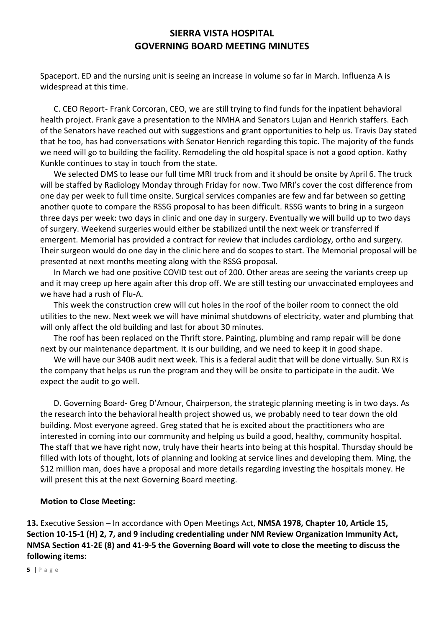Spaceport. ED and the nursing unit is seeing an increase in volume so far in March. Influenza A is widespread at this time.

C. CEO Report- Frank Corcoran, CEO, we are still trying to find funds for the inpatient behavioral health project. Frank gave a presentation to the NMHA and Senators Lujan and Henrich staffers. Each of the Senators have reached out with suggestions and grant opportunities to help us. Travis Day stated that he too, has had conversations with Senator Henrich regarding this topic. The majority of the funds we need will go to building the facility. Remodeling the old hospital space is not a good option. Kathy Kunkle continues to stay in touch from the state.

We selected DMS to lease our full time MRI truck from and it should be onsite by April 6. The truck will be staffed by Radiology Monday through Friday for now. Two MRI's cover the cost difference from one day per week to full time onsite. Surgical services companies are few and far between so getting another quote to compare the RSSG proposal to has been difficult. RSSG wants to bring in a surgeon three days per week: two days in clinic and one day in surgery. Eventually we will build up to two days of surgery. Weekend surgeries would either be stabilized until the next week or transferred if emergent. Memorial has provided a contract for review that includes cardiology, ortho and surgery. Their surgeon would do one day in the clinic here and do scopes to start. The Memorial proposal will be presented at next months meeting along with the RSSG proposal.

In March we had one positive COVID test out of 200. Other areas are seeing the variants creep up and it may creep up here again after this drop off. We are still testing our unvaccinated employees and we have had a rush of Flu-A.

This week the construction crew will cut holes in the roof of the boiler room to connect the old utilities to the new. Next week we will have minimal shutdowns of electricity, water and plumbing that will only affect the old building and last for about 30 minutes.

The roof has been replaced on the Thrift store. Painting, plumbing and ramp repair will be done next by our maintenance department. It is our building, and we need to keep it in good shape.

We will have our 340B audit next week. This is a federal audit that will be done virtually. Sun RX is the company that helps us run the program and they will be onsite to participate in the audit. We expect the audit to go well.

D. Governing Board- Greg D'Amour, Chairperson, the strategic planning meeting is in two days. As the research into the behavioral health project showed us, we probably need to tear down the old building. Most everyone agreed. Greg stated that he is excited about the practitioners who are interested in coming into our community and helping us build a good, healthy, community hospital. The staff that we have right now, truly have their hearts into being at this hospital. Thursday should be filled with lots of thought, lots of planning and looking at service lines and developing them. Ming, the \$12 million man, does have a proposal and more details regarding investing the hospitals money. He will present this at the next Governing Board meeting.

#### **Motion to Close Meeting:**

**13.** Executive Session – In accordance with Open Meetings Act, **NMSA 1978, Chapter 10, Article 15, Section 10-15-1 (H) 2, 7, and 9 including credentialing under NM Review Organization Immunity Act, NMSA Section 41-2E (8) and 41-9-5 the Governing Board will vote to close the meeting to discuss the following items:**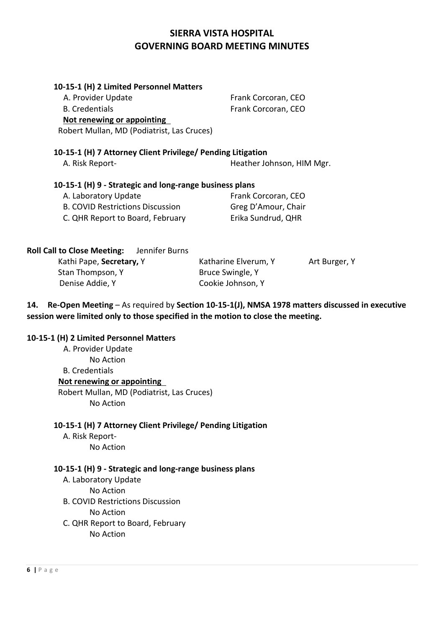| 10-15-1 (H) 2 Limited Personnel Matters                                                           |                           |                     |  |
|---------------------------------------------------------------------------------------------------|---------------------------|---------------------|--|
| A. Provider Update                                                                                |                           | Frank Corcoran, CEO |  |
| <b>B.</b> Credentials                                                                             | Frank Corcoran, CEO       |                     |  |
| Not renewing or appointing                                                                        |                           |                     |  |
| Robert Mullan, MD (Podiatrist, Las Cruces)                                                        |                           |                     |  |
| 10-15-1 (H) 7 Attorney Client Privilege/ Pending Litigation                                       |                           |                     |  |
| A. Risk Report-                                                                                   | Heather Johnson, HIM Mgr. |                     |  |
| 10-15-1 (H) 9 - Strategic and long-range business plans                                           |                           |                     |  |
| A. Laboratory Update                                                                              | Frank Corcoran, CEO       |                     |  |
| <b>B. COVID Restrictions Discussion</b>                                                           | Greg D'Amour, Chair       |                     |  |
| C. QHR Report to Board, February                                                                  | Erika Sundrud, QHR        |                     |  |
| <b>Roll Call to Close Meeting:</b> Jennifer Burns                                                 |                           |                     |  |
| Kathi Pape, Secretary, Y                                                                          | Katharine Elverum, Y      | Art Burger, Y       |  |
| Stan Thompson, Y                                                                                  | Bruce Swingle, Y          |                     |  |
| Denise Addie, Y                                                                                   | Cookie Johnson, Y         |                     |  |
| 14. Re-Open Meeting - As required by Section 10-15-1(J), NMSA 1978 matters discussed in executive |                           |                     |  |
| session were limited only to those specified in the motion to close the meeting.                  |                           |                     |  |

#### **10-15-1 (H) 2 Limited Personnel Matters**

A. Provider Update No Action B. Credentials **Not renewing or appointing**  Robert Mullan, MD (Podiatrist, Las Cruces) No Action

#### **10-15-1 (H) 7 Attorney Client Privilege/ Pending Litigation**

 A. Risk Report- No Action

#### **10-15-1 (H) 9 - Strategic and long-range business plans**

 A. Laboratory Update No Action

B. COVID Restrictions Discussion

No Action

C. QHR Report to Board, February

No Action